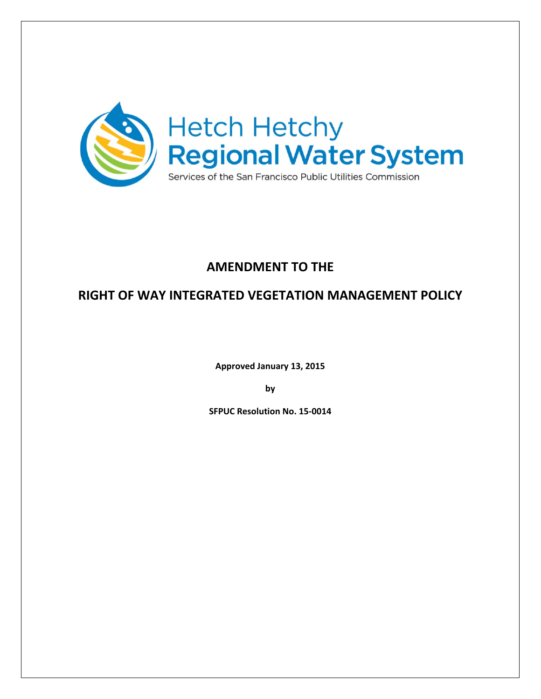

## **AMENDMENT TO THE**

## **RIGHT OF WAY INTEGRATED VEGETATION MANAGEMENT POLICY**

**Approved January 13, 2015**

**by**

**SFPUC Resolution No. 15‐0014**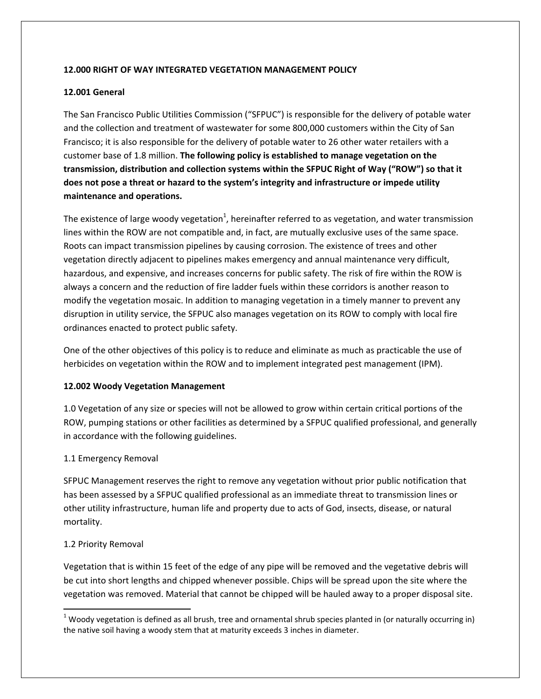#### **12.000 RIGHT OF WAY INTEGRATED VEGETATION MANAGEMENT POLICY**

#### **12.001 General**

The San Francisco Public Utilities Commission ("SFPUC") is responsible for the delivery of potable water and the collection and treatment of wastewater for some 800,000 customers within the City of San Francisco; it is also responsible for the delivery of potable water to 26 other water retailers with a customer base of 1.8 million. **The following policy is established to manage vegetation on the transmission, distribution and collection systems within the SFPUC Right of Way ("ROW") so that it does not pose a threat or hazard to the system's integrity and infrastructure or impede utility maintenance and operations.**

The existence of large woody vegetation<sup>1</sup>, hereinafter referred to as vegetation, and water transmission lines within the ROW are not compatible and, in fact, are mutually exclusive uses of the same space. Roots can impact transmission pipelines by causing corrosion. The existence of trees and other vegetation directly adjacent to pipelines makes emergency and annual maintenance very difficult, hazardous, and expensive, and increases concerns for public safety. The risk of fire within the ROW is always a concern and the reduction of fire ladder fuels within these corridors is another reason to modify the vegetation mosaic. In addition to managing vegetation in a timely manner to prevent any disruption in utility service, the SFPUC also manages vegetation on its ROW to comply with local fire ordinances enacted to protect public safety.

One of the other objectives of this policy is to reduce and eliminate as much as practicable the use of herbicides on vegetation within the ROW and to implement integrated pest management (IPM).

#### **12.002 Woody Vegetation Management**

1.0 Vegetation of any size or species will not be allowed to grow within certain critical portions of the ROW, pumping stations or other facilities as determined by a SFPUC qualified professional, and generally in accordance with the following guidelines.

#### 1.1 Emergency Removal

SFPUC Management reserves the right to remove any vegetation without prior public notification that has been assessed by a SFPUC qualified professional as an immediate threat to transmission lines or other utility infrastructure, human life and property due to acts of God, insects, disease, or natural mortality.

#### 1.2 Priority Removal

Vegetation that is within 15 feet of the edge of any pipe will be removed and the vegetative debris will be cut into short lengths and chipped whenever possible. Chips will be spread upon the site where the vegetation was removed. Material that cannot be chipped will be hauled away to a proper disposal site.

  $1$  Woody vegetation is defined as all brush, tree and ornamental shrub species planted in (or naturally occurring in) the native soil having a woody stem that at maturity exceeds 3 inches in diameter.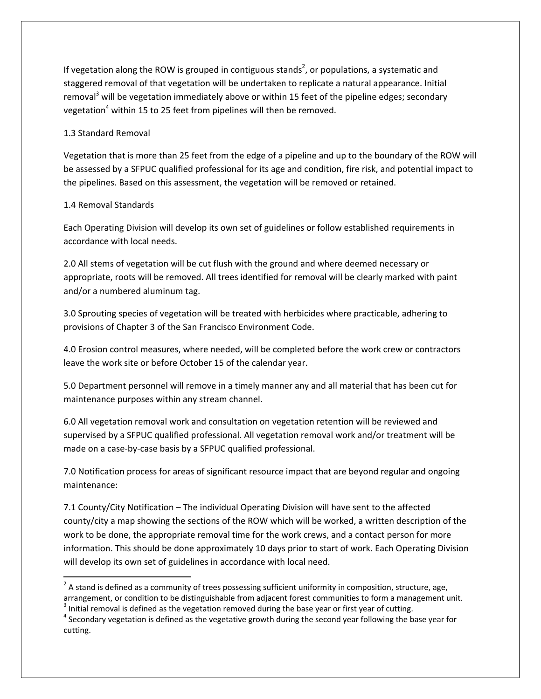If vegetation along the ROW is grouped in contiguous stands<sup>2</sup>, or populations, a systematic and staggered removal of that vegetation will be undertaken to replicate a natural appearance. Initial removal<sup>3</sup> will be vegetation immediately above or within 15 feet of the pipeline edges; secondary vegetation<sup>4</sup> within 15 to 25 feet from pipelines will then be removed.

#### 1.3 Standard Removal

Vegetation that is more than 25 feet from the edge of a pipeline and up to the boundary of the ROW will be assessed by a SFPUC qualified professional for its age and condition, fire risk, and potential impact to the pipelines. Based on this assessment, the vegetation will be removed or retained.

#### 1.4 Removal Standards

Each Operating Division will develop its own set of guidelines or follow established requirements in accordance with local needs.

2.0 All stems of vegetation will be cut flush with the ground and where deemed necessary or appropriate, roots will be removed. All trees identified for removal will be clearly marked with paint and/or a numbered aluminum tag.

3.0 Sprouting species of vegetation will be treated with herbicides where practicable, adhering to provisions of Chapter 3 of the San Francisco Environment Code.

4.0 Erosion control measures, where needed, will be completed before the work crew or contractors leave the work site or before October 15 of the calendar year.

5.0 Department personnel will remove in a timely manner any and all material that has been cut for maintenance purposes within any stream channel.

6.0 All vegetation removal work and consultation on vegetation retention will be reviewed and supervised by a SFPUC qualified professional. All vegetation removal work and/or treatment will be made on a case-by-case basis by a SFPUC qualified professional.

7.0 Notification process for areas of significant resource impact that are beyond regular and ongoing maintenance:

7.1 County/City Notification – The individual Operating Division will have sent to the affected county/city a map showing the sections of the ROW which will be worked, a written description of the work to be done, the appropriate removal time for the work crews, and a contact person for more information. This should be done approximately 10 days prior to start of work. Each Operating Division will develop its own set of guidelines in accordance with local need.

 $2$  A stand is defined as a community of trees possessing sufficient uniformity in composition, structure, age, arrangement, or condition to be distinguishable from adjacent forest communities to form a management unit.<br> $3$  Initial removal is defined as the vegetation removed during the base year or first year of cutting.<br> $4$  Secon

cutting.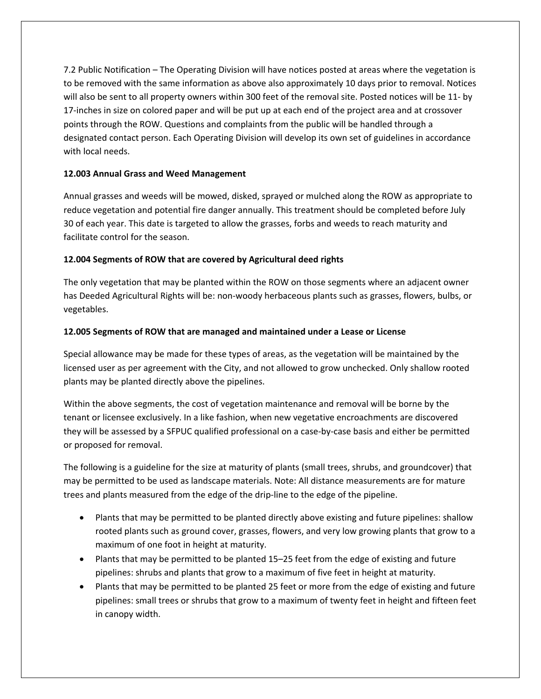7.2 Public Notification – The Operating Division will have notices posted at areas where the vegetation is to be removed with the same information as above also approximately 10 days prior to removal. Notices will also be sent to all property owners within 300 feet of the removal site. Posted notices will be 11- by 17-inches in size on colored paper and will be put up at each end of the project area and at crossover points through the ROW. Questions and complaints from the public will be handled through a designated contact person. Each Operating Division will develop its own set of guidelines in accordance with local needs.

#### **12.003 Annual Grass and Weed Management**

Annual grasses and weeds will be mowed, disked, sprayed or mulched along the ROW as appropriate to reduce vegetation and potential fire danger annually. This treatment should be completed before July 30 of each year. This date is targeted to allow the grasses, forbs and weeds to reach maturity and facilitate control for the season.

#### **12.004 Segments of ROW that are covered by Agricultural deed rights**

The only vegetation that may be planted within the ROW on those segments where an adjacent owner has Deeded Agricultural Rights will be: non‐woody herbaceous plants such as grasses, flowers, bulbs, or vegetables.

#### **12.005 Segments of ROW that are managed and maintained under a Lease or License**

Special allowance may be made for these types of areas, as the vegetation will be maintained by the licensed user as per agreement with the City, and not allowed to grow unchecked. Only shallow rooted plants may be planted directly above the pipelines.

Within the above segments, the cost of vegetation maintenance and removal will be borne by the tenant or licensee exclusively. In a like fashion, when new vegetative encroachments are discovered they will be assessed by a SFPUC qualified professional on a case‐by‐case basis and either be permitted or proposed for removal.

The following is a guideline for the size at maturity of plants (small trees, shrubs, and groundcover) that may be permitted to be used as landscape materials. Note: All distance measurements are for mature trees and plants measured from the edge of the drip‐line to the edge of the pipeline.

- Plants that may be permitted to be planted directly above existing and future pipelines: shallow rooted plants such as ground cover, grasses, flowers, and very low growing plants that grow to a maximum of one foot in height at maturity.
- Plants that may be permitted to be planted 15–25 feet from the edge of existing and future pipelines: shrubs and plants that grow to a maximum of five feet in height at maturity.
- Plants that may be permitted to be planted 25 feet or more from the edge of existing and future pipelines: small trees or shrubs that grow to a maximum of twenty feet in height and fifteen feet in canopy width.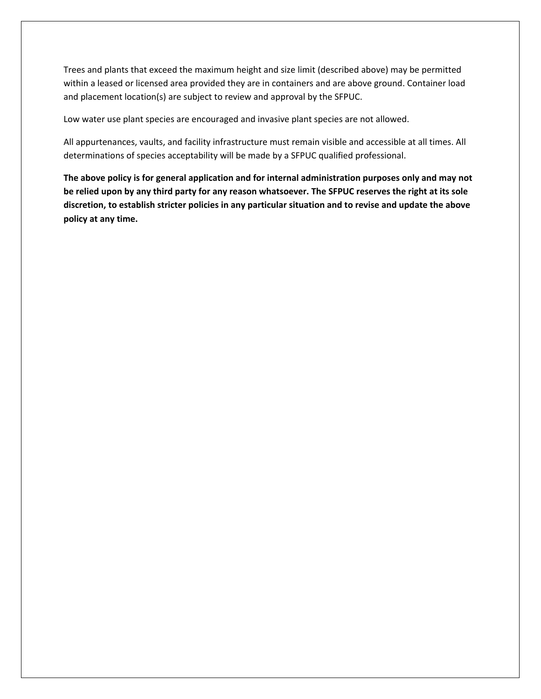Trees and plants that exceed the maximum height and size limit (described above) may be permitted within a leased or licensed area provided they are in containers and are above ground. Container load and placement location(s) are subject to review and approval by the SFPUC.

Low water use plant species are encouraged and invasive plant species are not allowed.

All appurtenances, vaults, and facility infrastructure must remain visible and accessible at all times. All determinations of species acceptability will be made by a SFPUC qualified professional.

**The above policy is for general application and for internal administration purposes only and may not** be relied upon by any third party for any reason whatsoever. The SFPUC reserves the right at its sole **discretion, to establish stricter policies in any particular situation and to revise and update the above policy at any time.**